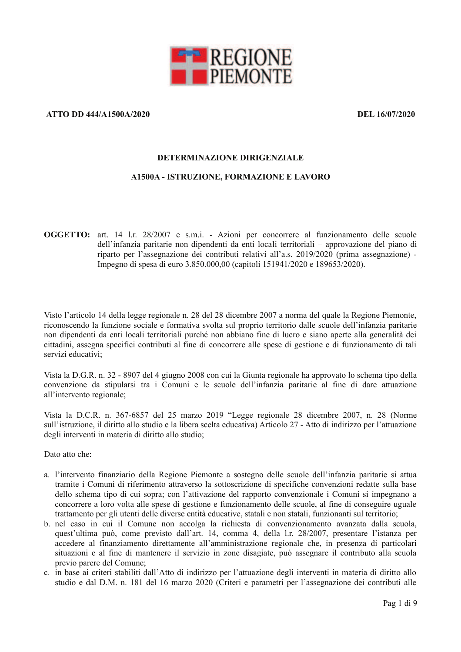

# **ATTO DD 444/A1500A/2020**

DEL 16/07/2020

#### DETERMINAZIONE DIRIGENZIALE

### **A1500A - ISTRUZIONE, FORMAZIONE E LAVORO**

**OGGETTO:** art. 14 l.r. 28/2007 e s.m.i. - Azioni per concorrere al funzionamento delle scuole dell'infanzia paritarie non dipendenti da enti locali territoriali – approvazione del piano di riparto per l'assegnazione dei contributi relativi all'a.s. 2019/2020 (prima assegnazione) -Impegno di spesa di euro 3.850.000,00 (capitoli 151941/2020 e 189653/2020).

Visto l'articolo 14 della legge regionale n. 28 del 28 dicembre 2007 a norma del quale la Regione Piemonte, riconoscendo la funzione sociale e formativa svolta sul proprio territorio dalle scuole dell'infanzia paritarie non dipendenti da enti locali territoriali purché non abbiano fine di lucro e siano aperte alla generalità dei cittadini, assegna specifici contributi al fine di concorrere alle spese di gestione e di funzionamento di tali servizi educativi<sup>-</sup>

Vista la D.G.R. n. 32 - 8907 del 4 giugno 2008 con cui la Giunta regionale ha approvato lo schema tipo della convenzione da stipularsi tra i Comuni e le scuole dell'infanzia paritarie al fine di dare attuazione all'intervento regionale:

Vista la D.C.R. n. 367-6857 del 25 marzo 2019 "Legge regionale 28 dicembre 2007, n. 28 (Norme sull'istruzione, il diritto allo studio e la libera scelta educativa) Articolo 27 - Atto di indirizzo per l'attuazione degli interventi in materia di diritto allo studio;

Dato atto che:

- a. l'intervento finanziario della Regione Piemonte a sostegno delle scuole dell'infanzia paritarie si attua tramite i Comuni di riferimento attraverso la sottoscrizione di specifiche convenzioni redatte sulla base dello schema tipo di cui sopra; con l'attivazione del rapporto convenzionale i Comuni si impegnano a concorrere a loro volta alle spese di gestione e funzionamento delle scuole, al fine di conseguire uguale trattamento per gli utenti delle diverse entità educative, statali e non statali, funzionanti sul territorio;
- b. nel caso in cui il Comune non accolga la richiesta di convenzionamento avanzata dalla scuola, quest'ultima può, come previsto dall'art. 14, comma 4, della l.r. 28/2007, presentare l'istanza per accedere al finanziamento direttamente all'amministrazione regionale che, in presenza di particolari situazioni e al fine di mantenere il servizio in zone disagiate, può assegnare il contributo alla scuola previo parere del Comune:
- c. in base ai criteri stabiliti dall'Atto di indirizzo per l'attuazione degli interventi in materia di diritto allo studio e dal D.M. n. 181 del 16 marzo 2020 (Criteri e parametri per l'assegnazione dei contributi alle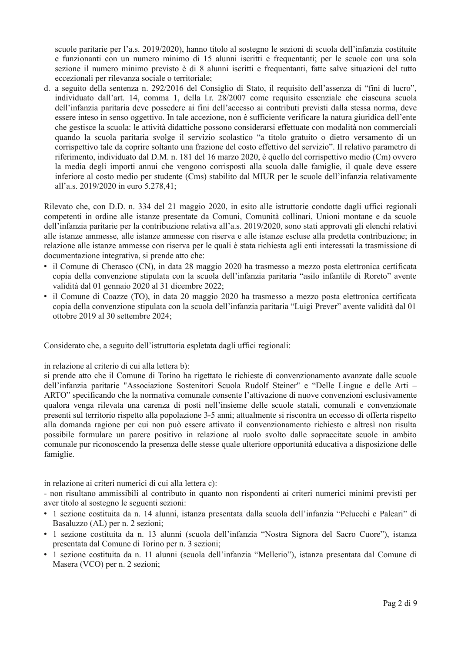scuole paritarie per l'a.s. 2019/2020), hanno titolo al sostegno le sezioni di scuola dell'infanzia costituite e funzionanti con un numero minimo di 15 alunni iscritti e frequentanti; per le scuole con una sola sezione il numero minimo previsto è di 8 alunni iscritti e frequentanti, fatte salve situazioni del tutto eccezionali per rilevanza sociale o territoriale;

d. a seguito della sentenza n. 292/2016 del Consiglio di Stato, il requisito dell'assenza di "fini di lucro", individuato dall'art. 14, comma 1, della l.r. 28/2007 come requisito essenziale che ciascuna scuola dell'infanzia paritaria deve possedere ai fini dell'accesso ai contributi previsti dalla stessa norma, deve essere inteso in senso oggettivo. In tale accezione, non è sufficiente verificare la natura giuridica dell'ente che gestisce la scuola: le attività didattiche possono considerarsi effettuate con modalità non commerciali quando la scuola paritaria svolge il servizio scolastico "a titolo gratuito o dietro versamento di un corrispettivo tale da coprire soltanto una frazione del costo effettivo del servizio". Il relativo parametro di riferimento, individuato dal D.M. n. 181 del 16 marzo 2020, è quello del corrispettivo medio (Cm) ovvero la media degli importi annui che vengono corrisposti alla scuola dalle famiglie, il quale deve essere inferiore al costo medio per studente (Cms) stabilito dal MIUR per le scuole dell'infanzia relativamente all'a.s. 2019/2020 in euro 5.278,41;

Rilevato che, con D.D. n. 334 del 21 maggio 2020, in esito alle istruttorie condotte dagli uffici regionali competenti in ordine alle istanze presentate da Comuni, Comunità collinari, Unioni montane e da scuole dell'infanzia paritarie per la contribuzione relativa all'a.s. 2019/2020, sono stati approvati gli elenchi relativi alle istanze ammesse, alle istanze ammesse con riserva e alle istanze escluse alla predetta contribuzione: in relazione alle istanze ammesse con riserva per le quali è stata richiesta agli enti interessati la trasmissione di documentazione integrativa, si prende atto che:

- il Comune di Cherasco (CN), in data 28 maggio 2020 ha trasmesso a mezzo posta elettronica certificata copia della convenzione stipulata con la scuola dell'infanzia paritaria "asilo infantile di Roreto" avente validità dal 01 gennaio 2020 al 31 dicembre 2022;
- · il Comune di Coazze (TO), in data 20 maggio 2020 ha trasmesso a mezzo posta elettronica certificata copia della convenzione stipulata con la scuola dell'infanzia paritaria "Luigi Prever" avente validità dal 01 ottobre 2019 al 30 settembre 2024;

Considerato che, a seguito dell'istruttoria espletata dagli uffici regionali:

in relazione al criterio di cui alla lettera b):

si prende atto che il Comune di Torino ha rigettato le richieste di convenzionamento avanzate dalle scuole dell'infanzia paritarie "Associazione Sostenitori Scuola Rudolf Steiner" e "Delle Lingue e delle Arti -ARTO" specificando che la normativa comunale consente l'attivazione di nuove convenzioni esclusivamente qualora venga rilevata una carenza di posti nell'insieme delle scuole statali, comunali e convenzionate presenti sul territorio rispetto alla popolazione 3-5 anni: attualmente si riscontra un eccesso di offerta rispetto alla domanda ragione per cui non può essere attivato il convenzionamento richiesto e altresì non risulta possibile formulare un parere positivo in relazione al ruolo svolto dalle sopraccitate scuole in ambito comunale pur riconoscendo la presenza delle stesse quale ulteriore opportunità educativa a disposizione delle famiglie.

in relazione ai criteri numerici di cui alla lettera c):

- non risultano ammissibili al contributo in quanto non rispondenti ai criteri numerici minimi previsti per aver titolo al sostegno le seguenti sezioni:

- · 1 sezione costituita da n. 14 alunni, istanza presentata dalla scuola dell'infanzia "Pelucchi e Paleari" di Basaluzzo (AL) per n. 2 sezioni;
- · 1 sezione costituita da n. 13 alunni (scuola dell'infanzia "Nostra Signora del Sacro Cuore"), istanza presentata dal Comune di Torino per n. 3 sezioni;
- · 1 sezione costituita da n. 11 alunni (scuola dell'infanzia "Mellerio"), istanza presentata dal Comune di Masera (VCO) per n. 2 sezioni;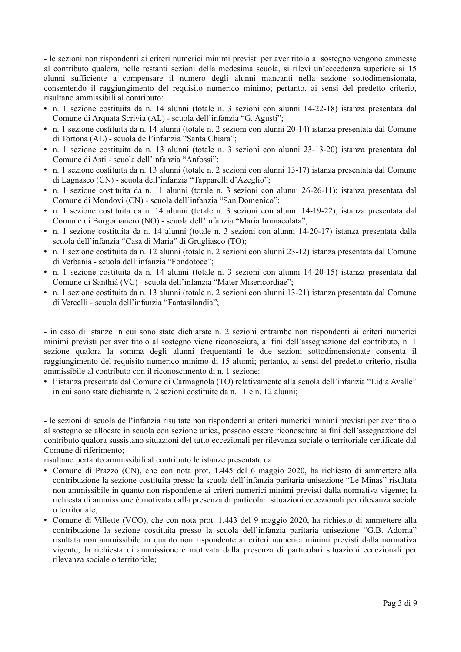- le sezioni non rispondenti ai criteri numerici minimi previsti per aver titolo al sostegno vengono ammesse al contributo qualora, nelle restanti sezioni della medesima scuola, si rilevi un'eccedenza superiore ai 15 alunni sufficiente a compensare il numero degli alunni mancanti nella sezione sottodimensionata, consentendo il raggiungimento del requisito numerico minimo; pertanto, ai sensi del predetto criterio, risultano ammissibili al contributo:

- n. 1 sezione costituita da n. 14 alunni (totale n. 3 sezioni con alunni 14-22-18) istanza presentata dal Comune di Arquata Scrivia (AL) - scuola dell'infanzia "G. Agusti";
- n. 1 sezione costituita da n. 14 alunni (totale n. 2 sezioni con alunni 20-14) istanza presentata dal Comune di Tortona (AL) - scuola dell'infanzia "Santa Chiara":
- n. 1 sezione costituita da n. 13 alunni (totale n. 3 sezioni con alunni 23-13-20) istanza presentata dal Comune di Asti - scuola dell'infanzia "Anfossi".
- n. 1 sezione costituita da n. 13 alunni (totale n. 2 sezioni con alunni 13-17) istanza presentata dal Comune di Lagnasco (CN) - scuola dell'infanzia "Tapparelli d'Azeglio";
- · n. 1 sezione costituita da n. 11 alunni (totale n. 3 sezioni con alunni 26-26-11); istanza presentata dal Comune di Mondovì (CN) - scuola dell'infanzia "San Domenico";
- n. 1 sezione costituita da n. 14 alunni (totale n. 3 sezioni con alunni 14-19-22); istanza presentata dal Comune di Borgomanero (NO) - scuola dell'infanzia "Maria Immacolata";
- n. 1 sezione costituita da n. 14 alunni (totale n. 3 sezioni con alunni 14-20-17) istanza presentata dalla scuola dell'infanzia "Casa di Maria" di Grugliasco (TO);
- n. 1 sezione costituita da n. 12 alunni (totale n. 2 sezioni con alunni 23-12) istanza presentata dal Comune di Verbania - scuola dell'infanzia "Fondotoce":
- · n. 1 sezione costituita da n. 14 alunni (totale n. 3 sezioni con alunni 14-20-15) istanza presentata dal Comune di Santhià (VC) - scuola dell'infanzia "Mater Misericordiae";
- n. 1 sezione costituita da n. 13 alunni (totale n. 2 sezioni con alunni 13-21) istanza presentata dal Comune di Vercelli - scuola dell'infanzia "Fantasilandia";

- in caso di istanze in cui sono state dichiarate n. 2 sezioni entrambe non rispondenti ai criteri numerici minimi previsti per aver titolo al sostegno viene riconosciuta, ai fini dell'assegnazione del contributo, n. 1 sezione qualora la somma degli alunni frequentanti le due sezioni sottodimensionate consenta il raggiungimento del requisito numerico minimo di 15 alunni; pertanto, ai sensi del predetto criterio, risulta ammissibile al contributo con il riconoscimento di n. 1 sezione:

l'istanza presentata dal Comune di Carmagnola (TO) relativamente alla scuola dell'infanzia "Lidia Avalle" in cui sono state dichiarate n. 2 sezioni costituite da n. 11 e n. 12 alunni;

- le sezioni di scuola dell'infanzia risultate non rispondenti ai criteri numerici minimi previsti per aver titolo al sostegno se allocate in scuola con sezione unica, possono essere riconosciute ai fini dell'assegnazione del contributo qualora sussistano situazioni del tutto eccezionali per rilevanza sociale o territoriale certificate dal Comune di riferimento:

risultano pertanto ammissibili al contributo le istanze presentate da:

- Comune di Prazzo (CN), che con nota prot. 1.445 del 6 maggio 2020, ha richiesto di ammettere alla contribuzione la sezione costituita presso la scuola dell'infanzia paritaria unisezione "Le Minas" risultata non ammissibile in quanto non rispondente ai criteri numerici minimi previsti dalla normativa vigente; la richiesta di ammissione è motivata dalla presenza di particolari situazioni eccezionali per rilevanza sociale o territoriale:
- Comune di Villette (VCO), che con nota prot. 1.443 del 9 maggio 2020, ha richiesto di ammettere alla contribuzione la sezione costituita presso la scuola dell'infanzia paritaria unisezione "G.B. Adorna" risultata non ammissibile in quanto non rispondente ai criteri numerici minimi previsti dalla normativa vigente: la richiesta di ammissione è motivata dalla presenza di particolari situazioni eccezionali per rilevanza sociale o territoriale;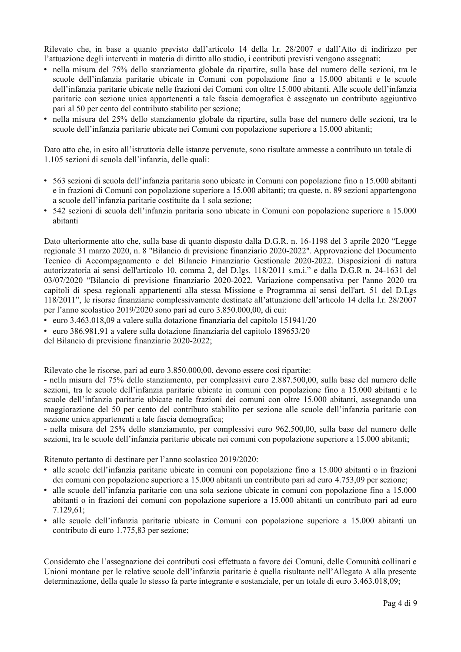Rilevato che, in base a quanto previsto dall'articolo 14 della l.r. 28/2007 e dall'Atto di indirizzo per l'attuazione degli interventi in materia di diritto allo studio, i contributi previsti vengono assegnati:

- nella misura del 75% dello stanziamento globale da ripartire, sulla base del numero delle sezioni, tra le scuole dell'infanzia paritarie ubicate in Comuni con popolazione fino a 15.000 abitanti e le scuole dell'infanzia paritarie ubicate nelle frazioni dei Comuni con oltre 15.000 abitanti. Alle scuole dell'infanzia paritarie con sezione unica appartenenti a tale fascia demografica è assegnato un contributo aggiuntivo pari al 50 per cento del contributo stabilito per sezione;
- nella misura del 25% dello stanziamento globale da ripartire, sulla base del numero delle sezioni, tra le scuole dell'infanzia paritarie ubicate nei Comuni con popolazione superiore a 15.000 abitanti;

Dato atto che, in esito all'istruttoria delle istanze pervenute, sono risultate ammesse a contributo un totale di 1.105 sezioni di scuola dell'infanzia, delle quali:

- 563 sezioni di scuola dell'infanzia paritaria sono ubicate in Comuni con popolazione fino a 15.000 abitanti e in frazioni di Comuni con popolazione superiore a 15.000 abitanti; tra queste, n. 89 sezioni appartengono a scuole dell'infanzia paritarie costituite da 1 sola sezione;
- 542 sezioni di scuola dell'infanzia paritaria sono ubicate in Comuni con popolazione superiore a 15.000 abitanti

Dato ulteriormente atto che, sulla base di quanto disposto dalla D.G.R. n. 16-1198 del 3 aprile 2020 "Legge" regionale 31 marzo 2020, n. 8 "Bilancio di previsione finanziario 2020-2022". Approvazione del Documento Tecnico di Accompagnamento e del Bilancio Finanziario Gestionale 2020-2022. Disposizioni di natura autorizzatoria ai sensi dell'articolo 10, comma 2, del D.lgs. 118/2011 s.m.i." e dalla D.G.R n. 24-1631 del 03/07/2020 "Bilancio di previsione finanziario 2020-2022. Variazione compensativa per l'anno 2020 tra capitoli di spesa regionali appartenenti alla stessa Missione e Programma ai sensi dell'art. 51 del D.Lgs 118/2011", le risorse finanziarie complessivamente destinate all'attuazione dell'articolo 14 della l.r. 28/2007 per l'anno scolastico 2019/2020 sono pari ad euro 3.850.000.00, di cui:

- euro 3.463.018.09 a valere sulla dotazione finanziaria del capitolo 151941/20
- · euro 386.981,91 a valere sulla dotazione finanziaria del capitolo 189653/20

del Bilancio di previsione finanziario 2020-2022;

Rilevato che le risorse, pari ad euro 3.850.000,00, devono essere così ripartite:

- nella misura del 75% dello stanziamento, per complessivi euro 2.887,500,00, sulla base del numero delle sezioni, tra le scuole dell'infanzia paritarie ubicate in comuni con popolazione fino a 15.000 abitanti e le scuole dell'infanzia paritarie ubicate nelle frazioni dei comuni con oltre 15.000 abitanti, assegnando una maggiorazione del 50 per cento del contributo stabilito per sezione alle scuole dell'infanzia paritarie con sezione unica appartenenti a tale fascia demografica:

- nella misura del 25% dello stanziamento, per complessivi euro 962.500,00, sulla base del numero delle sezioni, tra le scuole dell'infanzia paritarie ubicate nei comuni con popolazione superiore a 15.000 abitanti;

Ritenuto pertanto di destinare per l'anno scolastico 2019/2020:

- · alle scuole dell'infanzia paritarie ubicate in comuni con popolazione fino a 15.000 abitanti o in frazioni dei comuni con popolazione superiore a 15.000 abitanti un contributo pari ad euro 4.753.09 per sezione;
- · alle scuole dell'infanzia paritarie con una sola sezione ubicate in comuni con popolazione fino a 15.000 abitanti o in frazioni dei comuni con popolazione superiore a 15.000 abitanti un contributo pari ad euro  $7.129.61$ ;
- · alle scuole dell'infanzia paritarie ubicate in Comuni con popolazione superiore a 15.000 abitanti un contributo di euro 1.775,83 per sezione;

Considerato che l'assegnazione dei contributi così effettuata a favore dei Comuni, delle Comunità collinari e Unioni montane per le relative scuole dell'infanzia paritarie è quella risultante nell'Allegato A alla presente determinazione, della quale lo stesso fa parte integrante e sostanziale, per un totale di euro 3.463.018.09;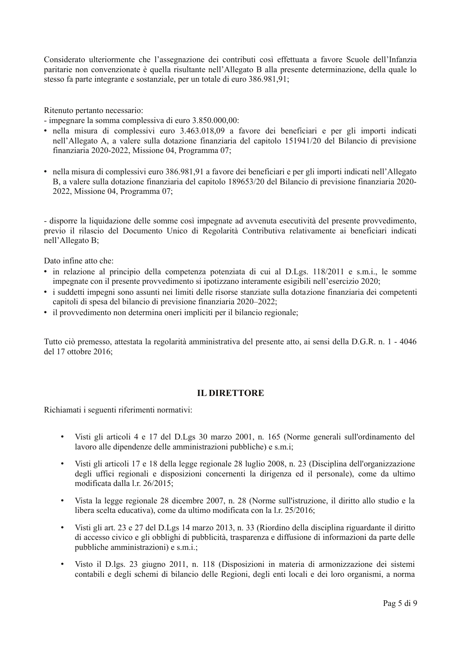Considerato ulteriormente che l'assegnazione dei contributi così effettuata a favore Scuole dell'Infanzia paritarie non convenzionate è quella risultante nell'Allegato B alla presente determinazione, della quale lo stesso fa parte integrante e sostanziale, per un totale di euro 386.981,91;

Ritenuto pertanto necessario:

- impegnare la somma complessiva di euro 3.850.000,00:

- · nella misura di complessivi euro 3.463.018,09 a favore dei beneficiari e per gli importi indicati nell'Allegato A, a valere sulla dotazione finanziaria del capitolo 151941/20 del Bilancio di previsione finanziaria 2020-2022, Missione 04, Programma 07;
- · nella misura di complessivi euro 386.981,91 a favore dei beneficiari e per gli importi indicati nell'Allegato B, a valere sulla dotazione finanziaria del capitolo 189653/20 del Bilancio di previsione finanziaria 2020-2022, Missione 04, Programma 07;

- disporre la liquidazione delle somme così impegnate ad avvenuta esecutività del presente provvedimento, previo il rilascio del Documento Unico di Regolarità Contributiva relativamente ai beneficiari indicati nell'Allegato B;

Dato infine atto che:

- in relazione al principio della competenza potenziata di cui al D.Lgs. 118/2011 e s.m.i., le somme impegnate con il presente provvedimento si ipotizzano interamente esigibili nell'esercizio 2020;
- · i suddetti impegni sono assunti nei limiti delle risorse stanziate sulla dotazione finanziaria dei competenti capitoli di spesa del bilancio di previsione finanziaria 2020–2022;
- il provvedimento non determina oneri impliciti per il bilancio regionale;

Tutto ciò premesso, attestata la regolarità amministrativa del presente atto, ai sensi della D.G.R. n. 1 - 4046 del 17 ottobre 2016;

# **IL DIRETTORE**

Richiamati i seguenti riferimenti normativi:

- Visti gli articoli 4 e 17 del D.Lgs 30 marzo 2001, n. 165 (Norme generali sull'ordinamento del lavoro alle dipendenze delle amministrazioni pubbliche) e s.m.i;
- Visti gli articoli 17 e 18 della legge regionale 28 luglio 2008, n. 23 (Disciplina dell'organizzazione degli uffici regionali e disposizioni concernenti la dirigenza ed il personale), come da ultimo modificata dalla l.r. 26/2015;
- Vista la legge regionale 28 dicembre 2007, n. 28 (Norme sull'istruzione, il diritto allo studio e la libera scelta educativa), come da ultimo modificata con la l.r. 25/2016;
- Visti gli art. 23 e 27 del D.Lgs 14 marzo 2013, n. 33 (Riordino della disciplina riguardante il diritto di accesso civico e gli obblighi di pubblicità, trasparenza e diffusione di informazioni da parte delle pubbliche amministrazioni) e s.m.i.:
- Visto il D.lgs. 23 giugno 2011, n. 118 (Disposizioni in materia di armonizzazione dei sistemi contabili e degli schemi di bilancio delle Regioni, degli enti locali e dei loro organismi, a norma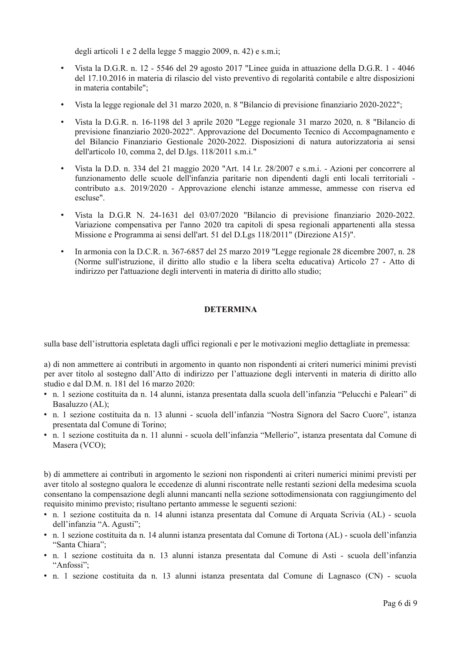degli articoli 1 e 2 della legge 5 maggio 2009, n. 42) e s.m.i;

- Vista la D.G.R. n. 12 5546 del 29 agosto 2017 "Linee guida in attuazione della D.G.R. 1 4046 del 17.10.2016 in materia di rilascio del visto preventivo di regolarità contabile e altre disposizioni in materia contabile";
- Vista la legge regionale del 31 marzo 2020, n. 8 "Bilancio di previsione finanziario 2020-2022";
- Vista la D.G.R. n. 16-1198 del 3 aprile 2020 "Legge regionale 31 marzo 2020, n. 8 "Bilancio di previsione finanziario 2020-2022". Approvazione del Documento Tecnico di Accompagnamento e del Bilancio Finanziario Gestionale 2020-2022. Disposizioni di natura autorizzatoria ai sensi dell'articolo 10, comma 2, del D.lgs. 118/2011 s.m.i."
- Vista la D.D. n. 334 del 21 maggio 2020 "Art. 14 l.r. 28/2007 e s.m.i. Azioni per concorrere al funzionamento delle scuole dell'infanzia paritarie non dipendenti dagli enti locali territoriali contributo a.s. 2019/2020 - Approvazione elenchi istanze ammesse, ammesse con riserva ed escluse".
- Vista la D.G.R N. 24-1631 del 03/07/2020 "Bilancio di previsione finanziario 2020-2022. Variazione compensativa per l'anno 2020 tra capitoli di spesa regionali appartenenti alla stessa Missione e Programma ai sensi dell'art. 51 del D.Lgs 118/2011" (Direzione A15)".
- In armonia con la D.C.R. n. 367-6857 del 25 marzo 2019 "Legge regionale 28 dicembre 2007, n. 28 (Norme sull'istruzione, il diritto allo studio e la libera scelta educativa) Articolo 27 - Atto di indirizzo per l'attuazione degli interventi in materia di diritto allo studio;

### **DETERMINA**

sulla base dell'istruttoria espletata dagli uffici regionali e per le motivazioni meglio dettagliate in premessa:

a) di non ammettere ai contributi in argomento in quanto non rispondenti ai criteri numerici minimi previsti per aver titolo al sostegno dall'Atto di indirizzo per l'attuazione degli interventi in materia di diritto allo studio e dal D.M. n. 181 del 16 marzo 2020:

- n. 1 sezione costituita da n. 14 alunni, istanza presentata dalla scuola dell'infanzia "Pelucchi e Paleari" di Basaluzzo (AL):
- · n. 1 sezione costituita da n. 13 alunni scuola dell'infanzia "Nostra Signora del Sacro Cuore", istanza presentata dal Comune di Torino:
- · n. 1 sezione costituita da n. 11 alunni scuola dell'infanzia "Mellerio", istanza presentata dal Comune di Masera (VCO);

b) di ammettere ai contributi in argomento le sezioni non rispondenti ai criteri numerici minimi previsti per aver titolo al sostegno qualora le eccedenze di alunni riscontrate nelle restanti sezioni della medesima scuola consentano la compensazione degli alunni mancanti nella sezione sottodimensionata con raggiungimento del requisito minimo previsto; risultano pertanto ammesse le seguenti sezioni:

- · n. 1 sezione costituita da n. 14 alunni istanza presentata dal Comune di Arquata Scrivia (AL) scuola dell'infanzia "A. Agusti";
- n. 1 sezione costituita da n. 14 alunni istanza presentata dal Comune di Tortona (AL) scuola dell'infanzia "Santa Chiara":
- n. 1 sezione costituita da n. 13 alunni istanza presentata dal Comune di Asti scuola dell'infanzia "Anfossi":
- n. 1 sezione costituita da n. 13 alunni istanza presentata dal Comune di Lagnasco (CN) scuola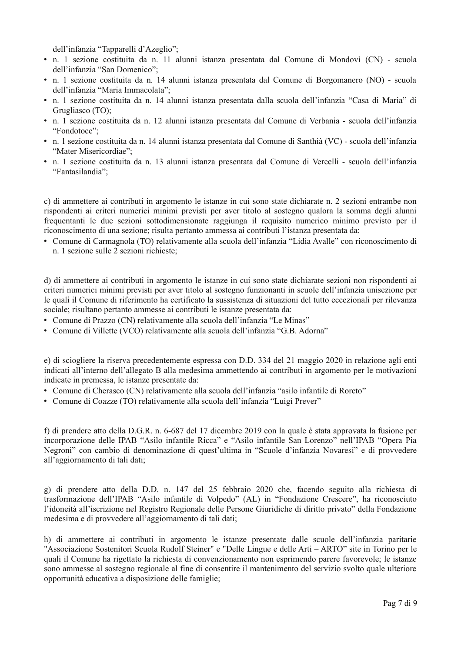dell'infanzia "Tapparelli d'Azeglio":

- · n. 1 sezione costituita da n. 11 alunni istanza presentata dal Comune di Mondovì (CN) scuola dell'infanzia "San Domenico";
- n. 1 sezione costituita da n. 14 alunni istanza presentata dal Comune di Borgomanero (NO) scuola dell'infanzia "Maria Immacolata":
- · n. 1 sezione costituita da n. 14 alunni istanza presentata dalla scuola dell'infanzia "Casa di Maria" di Grugliasco (TO);
- · n. 1 sezione costituita da n. 12 alunni istanza presentata dal Comune di Verbania scuola dell'infanzia "Fondotoce":
- n. 1 sezione costituita da n. 14 alunni istanza presentata dal Comune di Santhià (VC) scuola dell'infanzia "Mater Misericordiae":
- · n. 1 sezione costituita da n. 13 alunni istanza presentata dal Comune di Vercelli scuola dell'infanzia "Fantasilandia";

c) di ammettere ai contributi in argomento le istanze in cui sono state dichiarate n. 2 sezioni entrambe non rispondenti ai criteri numerici minimi previsti per aver titolo al sostegno qualora la somma degli alunni frequentanti le due sezioni sottodimensionate raggiunga il requisito numerico minimo previsto per il riconoscimento di una sezione; risulta pertanto ammessa ai contributi l'istanza presentata da:

• Comune di Carmagnola (TO) relativamente alla scuola dell'infanzia "Lidia Avalle" con riconoscimento di n. 1 sezione sulle 2 sezioni richieste:

d) di ammettere ai contributi in argomento le istanze in cui sono state dichiarate sezioni non rispondenti ai criteri numerici minimi previsti per aver titolo al sostegno funzionanti in scuole dell'infanzia unisezione per le quali il Comune di riferimento ha certificato la sussistenza di situazioni del tutto eccezionali per rilevanza sociale; risultano pertanto ammesse ai contributi le istanze presentata da:

- Comune di Prazzo (CN) relativamente alla scuola dell'infanzia "Le Minas"
- Comune di Villette (VCO) relativamente alla scuola dell'infanzia "G.B. Adorna"

e) di sciogliere la riserva precedentemente espressa con D.D. 334 del 21 maggio 2020 in relazione agli enti indicati all'interno dell'allegato B alla medesima ammettendo ai contributi in argomento per le motivazioni indicate in premessa, le istanze presentate da:

- Comune di Cherasco (CN) relativamente alla scuola dell'infanzia "asilo infantile di Roreto"
- Comune di Coazze (TO) relativamente alla scuola dell'infanzia "Luigi Prever"

f) di prendere atto della D.G.R. n. 6-687 del 17 dicembre 2019 con la quale è stata approvata la fusione per incorporazione delle IPAB "Asilo infantile Ricca" e "Asilo infantile San Lorenzo" nell'IPAB "Opera Pia Negroni" con cambio di denominazione di quest'ultima in "Scuole d'infanzia Novaresi" e di provvedere all'aggiornamento di tali dati;

g) di prendere atto della D.D. n. 147 del 25 febbraio 2020 che, facendo seguito alla richiesta di trasformazione dell'IPAB "Asilo infantile di Volpedo" (AL) in "Fondazione Crescere", ha riconosciuto l'idoneità all'iscrizione nel Registro Regionale delle Persone Giuridiche di diritto privato" della Fondazione medesima e di provvedere all'aggiornamento di tali dati;

h) di ammettere ai contributi in argomento le istanze presentate dalle scuole dell'infanzia paritarie "Associazione Sostenitori Scuola Rudolf Steiner" e "Delle Lingue e delle Arti – ARTO" site in Torino per le quali il Comune ha rigettato la richiesta di convenzionamento non esprimendo parere favorevole: le istanze sono ammesse al sostegno regionale al fine di consentire il mantenimento del servizio svolto quale ulteriore opportunità educativa a disposizione delle famiglie;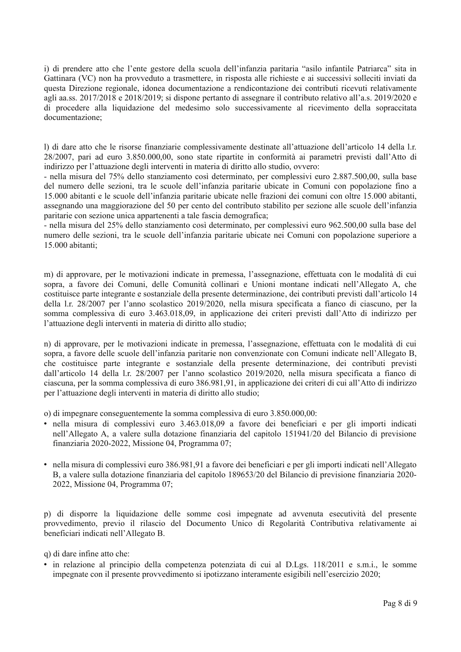i) di prendere atto che l'ente gestore della scuola dell'infanzia paritaria "asilo infantile Patriarca" sita in Gattinara (VC) non ha provveduto a trasmettere, in risposta alle richieste e ai successivi solleciti inviati da questa Direzione regionale, idonea documentazione a rendicontazione dei contributi ricevuti relativamente agli aa.ss. 2017/2018 e 2018/2019; si dispone pertanto di assegnare il contributo relativo all'a.s. 2019/2020 e di procedere alla liquidazione del medesimo solo successivamente al ricevimento della sopraccitata documentazione:

I) di dare atto che le risorse finanziarie complessivamente destinate all'attuazione dell'articolo 14 della l.r. 28/2007, pari ad euro 3.850.000,00, sono state ripartite in conformità ai parametri previsti dall'Atto di indirizzo per l'attuazione degli interventi in materia di diritto allo studio, ovvero:

- nella misura del 75% dello stanziamento così determinato, per complessivi euro 2.887.500,00, sulla base del numero delle sezioni, tra le scuole dell'infanzia paritarie ubicate in Comuni con popolazione fino a 15.000 abitanti e le scuole dell'infanzia paritarie ubicate nelle frazioni dei comuni con oltre 15.000 abitanti, assegnando una maggiorazione del 50 per cento del contributo stabilito per sezione alle scuole dell'infanzia paritarie con sezione unica appartenenti a tale fascia demografica;

- nella misura del 25% dello stanziamento così determinato, per complessivi euro 962.500,00 sulla base del numero delle sezioni, tra le scuole dell'infanzia paritarie ubicate nei Comuni con popolazione superiore a 15.000 abitanti:

m) di approvare, per le motivazioni indicate in premessa, l'assegnazione, effettuata con le modalità di cui sopra, a favore dei Comuni, delle Comunità collinari e Unioni montane indicati nell'Allegato A, che costituisce parte integrante e sostanziale della presente determinazione, dei contributi previsti dall'articolo 14 della 1.r. 28/2007 per l'anno scolastico 2019/2020, nella misura specificata a fianco di ciascuno, per la somma complessiva di euro 3.463.018.09, in applicazione dei criteri previsti dall'Atto di indirizzo per l'attuazione degli interventi in materia di diritto allo studio;

n) di approvare, per le motivazioni indicate in premessa, l'assegnazione, effettuata con le modalità di cui sopra, a favore delle scuole dell'infanzia paritarie non convenzionate con Comuni indicate nell'Allegato B, che costituisce parte integrante e sostanziale della presente determinazione, dei contributi previsti dall'articolo 14 della 1.r. 28/2007 per l'anno scolastico 2019/2020, nella misura specificata a fianco di ciascuna, per la somma complessiva di euro 386.981,91, in applicazione dei criteri di cui all'Atto di indirizzo per l'attuazione degli interventi in materia di diritto allo studio;

o) di impegnare conseguentemente la somma complessiva di euro 3.850.000,00:

- · nella misura di complessivi euro 3.463.018.09 a favore dei beneficiari e per gli importi indicati nell'Allegato A, a valere sulla dotazione finanziaria del capitolo 151941/20 del Bilancio di previsione finanziaria 2020-2022, Missione 04, Programma 07;
- · nella misura di complessivi euro 386.981.91 a favore dei beneficiari e per gli importi indicati nell'Allegato B, a valere sulla dotazione finanziaria del capitolo 189653/20 del Bilancio di previsione finanziaria 2020-2022, Missione 04, Programma 07;

p) di disporre la liquidazione delle somme così impegnate ad avvenuta esecutività del presente provvedimento, previo il rilascio del Documento Unico di Regolarità Contributiva relativamente ai beneficiari indicati nell'Allegato B.

q) di dare infine atto che:

• in relazione al principio della competenza potenziata di cui al D.Lgs. 118/2011 e s.m.i., le somme impegnate con il presente provvedimento si ipotizzano interamente esigibili nell'esercizio 2020;